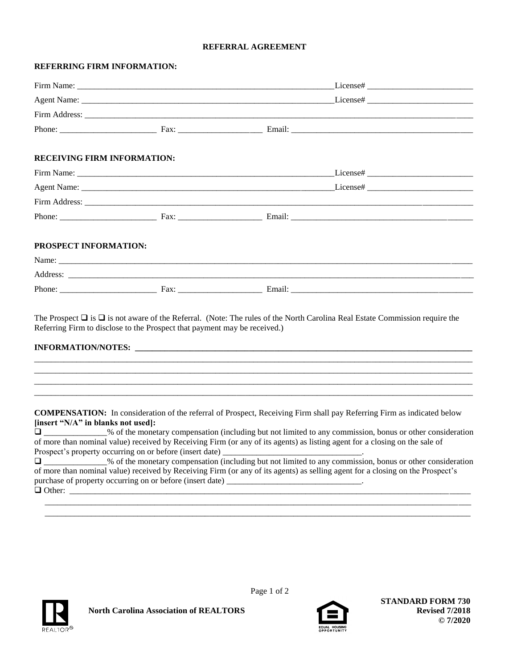## **REFERRAL AGREEMENT**

## **REFERRING FIRM INFORMATION:**

| <b>RECEIVING FIRM INFORMATION:</b>                                        |                                                                                                                                                                    |
|---------------------------------------------------------------------------|--------------------------------------------------------------------------------------------------------------------------------------------------------------------|
|                                                                           |                                                                                                                                                                    |
|                                                                           |                                                                                                                                                                    |
|                                                                           |                                                                                                                                                                    |
|                                                                           | Phone: Fax: Fax: Email: Email:                                                                                                                                     |
| PROSPECT INFORMATION:                                                     |                                                                                                                                                                    |
|                                                                           |                                                                                                                                                                    |
|                                                                           |                                                                                                                                                                    |
|                                                                           |                                                                                                                                                                    |
| Referring Firm to disclose to the Prospect that payment may be received.) | The Prospect $\Box$ is $\Box$ is not aware of the Referral. (Note: The rules of the North Carolina Real Estate Commission require the<br><b>INFORMATION/NOTES:</b> |
|                                                                           |                                                                                                                                                                    |
|                                                                           |                                                                                                                                                                    |



Page 1 of 2

**North Carolina Association of REALTORS**



 **STANDARD FORM 730 Revised 7/2018 © 7/2020**